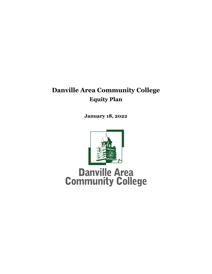# **Danville Area Community College Equity Plan**

**January 18, 2022**



**Danville Area<br>Community College**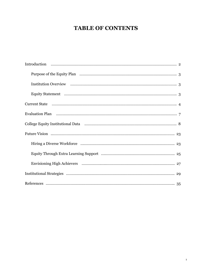# **TABLE OF CONTENTS**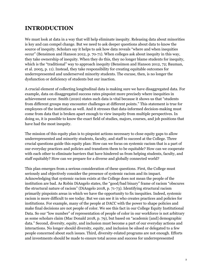# **INTRODUCTION**

We must look at data in a way that will help eliminate inequity. Releasing data about minorities is key and can compel change. But we need to ask deeper questions about data to know the source of inequity. Scholars say it helps to ask how data reveals "where and when inequities occur" (Bensimon and Hanson 2012, p. 70-71). When colleges ask about inequity in this way, they take ownership of inequity. When they do this, they no longer blame students for inequity, which is the "traditional" way to approach inequity (Bensimon and Hanson 2012, 72; Bauman, et al. 2005, p. 11). Instead, they take responsibility for creating equitable outcomes for underrepresented and underserved minority students. The excuse, then, is no longer the dysfunction or deficiency of students but our inaction.

A crucial element of collecting longitudinal data is making sure we have disaggregated data. For example, data on disaggregated success rates pinpoint more precisely where inequities in achievement occur. Smith (2020) states such data is vital because it shows us that "students from different groups may encounter challenges at different points." This statement is true for employees of the institution as well. And it stresses that data-informed decision-making must come from data that is broken apart enough to view inequity from multiple perspectives. In doing so, it is possible to know the exact field of studies, majors, courses, and job positions that have had the most inequity.

The mission of this equity plan is to pinpoint actions necessary to close equity gaps to allow underrepresented and minority students, faculty, and staff to succeed at the College. Three crucial questions guide this equity plan: How can we focus on systemic racism that is a part of our everyday practices and policies and transform them to be equitable? How can we cooperate with each other to eliminate barriers that have hindered us from helping students, faculty, and staff equitably? How can we prepare for a diverse and globally connected world?

This plan emerges from a serious consideration of these questions. First, the College must seriously and objectively consider the presence of systemic racism and its impact. Acknowledging that systemic racism exists at the College does not mean the people of the institution are bad. As Robin DiAngelo states, the "good/bad binary" frame of racism "obscures the structural nature of racism" (DiAngelo 2018, p. 71-73). Identifying structural racism primarily pinpoints areas in which we have the opportunity to fix inequities. Indeed, systemic racism is more difficult to see today. But we can see it in who creates practices and policies for institutions. For example, many of the people at DACC with the power to shape policies and make final decisions are not people of color. We see this fact in our College Equity Institutional Data. So our "low number" of representation of people of color in our workforce is not arbitrary as some scholars claim (Mac Donald 2018, p. 79), but based on "academic [and] demographic data." Second, diversity, equity, and inclusion must become a part of our everyday actions and interactions. No longer should diversity, equity, and inclusion be siloed or delegated to a few people concerned about such issues. Third, diversity-related programs are not enough. Efforts and investments should be made to ensure total access and success for underrepresented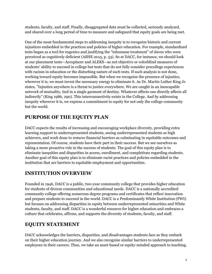students, faculty, and staff. Finally, disaggregated data must be collected, seriously analyzed, and shared over a long period of time to measure and safeguard that equity goals are being met.

One of the most fundamental steps to addressing inequity is to recognize historic and current injustices embedded in the practices and policies of higher education. For example, standardized tests began as a tool for eugenics and justifying the "inhumane treatment" of slaves who were perceived as cognitively deficient (ASHE 2015, p. 53). So at DACC, for instance, we should look at our placement tests—Accuplacer and ALEKS—as not objective or colorblind measures of students' ability to succeed in college but tests that do not fully consider precollege experiences with racism in education or the disturbing nature of such tests. If such analysis is not done, working toward equity becomes impossible. But when we recognize the presence of injustice, wherever it is, we must invest the necessary energy to eliminate it. As Dr. Martin Luther King Jr. states, "Injustice anywhere is a threat to justice everywhere. We are caught in an inescapable network of mutuality, tied in a single garment of destiny. Whatever affects one directly affects all indirectly" (King 1986, 290). This interconnectivity exists in the College. And by addressing inequity wherever it is, we express a commitment to equity for not only the college community but the world.

# **PURPOSE OF THE EQUITY PLAN**

DACC expects the results of increasing and encouraging workplace diversity, providing extra learning support to underrepresented students, seeing underrepresented students as high achievers, and work done to remove financial barriers as culminating in equitable outcomes and representation. Of course, students have their part in their success. But we see ourselves as taking a more proactive role in the success of students. The goal of this equity plan is to eliminate inequities and disparities in access, enrollment, and completions regarding students. Another goal of this equity plan is to eliminate racist practices and policies embedded in the institution that are barriers to equitable employment and opportunities.

# **INSTITUTION OVERVIEW**

Founded in 1946, DACC is a public, two-year community college that provides higher education for students of diverse communities and educational needs. DACC is a nationally accredited community college offering numerous degree programs and certificates that reflect innovation and prepare students to succeed in the world. DACC is a Predominantly White Institution (PWI) but focuses on addressing disparities in equity between underrepresented minorities and White students, faculty, and staff. DACC is a wonderful resource for higher education and embraces a culture that celebrates, affirms, and supports the diversity of students, faculty, and staff.

# **EQUITY STATEMENT**

DACC acknowledges the barriers, disparities, and disadvantages students face as they embark on their higher education journey. And we also recognize similar barriers to underrepresented employees in their careers. Thus, we take an asset-based or equity-minded approach to teaching,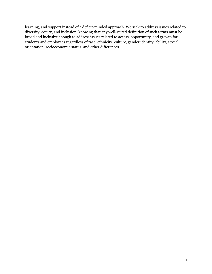learning, and support instead of a deficit-minded approach. We seek to address issues related to diversity, equity, and inclusion, knowing that any well-suited definition of such terms must be broad and inclusive enough to address issues related to access, opportunity, and growth for students and employees regardless of race, ethnicity, culture, gender identity, ability, sexual orientation, socioeconomic status, and other differences.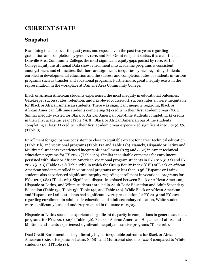# **CURRENT STATE**

# **Snapshot**

Examining the data over the past years, and especially in the past two years regarding graduation and completion by gender, race, and Pell Grant recipient status, it is clear that at Danville Area Community College, the most significant equity gaps persist by race. As the College Equity Institutional Data show, enrollment into academic programs is consistent amongst races and ethnicities. But there are significant inequities by race regarding students enrolled in developmental education and the success and completion rates of students in various programs such as transfer and vocational programs. Furthermore, great inequity exists in the representation in the workplace at Danville Area Community College.

Black or African American students experienced the most inequity in educational outcomes. Gatekeeper success rates, retention, and next-level coursework success rates all were inequitable for Black or African American students. There was significant inequity regarding Black or African American full-time students completing 24 credits in their first academic year (0.61). Similar inequity existed for Black or African American part-time students completing 12 credits in their first academic year (Table 7 & 8). Black or African American part-time students completing at least 12 credits in their first academic year experienced significant inequity (0.50) (Table 8).

Enrollment for groups was consistent or close to equitable except for career technical education (Table 11b) and vocational programs (Table 12a and Table 12b). Namely, Hispanic or Latinx and Multiracial students experienced inequitable enrollment (0.73 and 0.62) in career technical education programs for FY 2020 (Table 11b). Similar inequitable outcomes for enrollment persisted with Black or African American vocational program students in FY 2019 (0.57) and FY 2020 (0.50) (Table 12a & Table 12b), in which the Group Equity Index (GEI) of Black or African American students enrolled in vocational programs were less than 0.58. Hispanic or Latinx students also experienced significant inequity regarding enrollment in vocational programs for FY 2020 (0.84) (Table 12b). Significant disparities existed between Black or African American, Hispanic or Latinx, and White students enrolled in Adult Basic Education and Adult Secondary Education (Table 13a, Table 13b, Table 14a, and Table 14b). While Black or African American and Hispanic or Latinx students had significant overrepresentation for FY 2019 and FY 2020 regarding enrollment in adult basic education and adult secondary education, White students were significantly less and underrepresented in the same category.

Hispanic or Latinx students experienced significant disparity in completions in general associate programs for FY 2020 (0.67) (Table 15b). Black or African American, Hispanic or Latinx, and Multiracial students experienced significant inequity in transfer programs (Table 16b).

Dual Credit Enrollment had significantly higher inequitable outcomes for Black or African American (0.69), Hispanic or Latinx (0.68), and Multiracial students (0.20) compared to White students (1.05) (Table 18).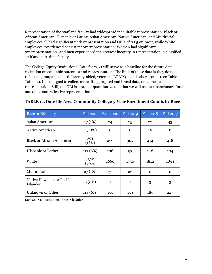Representation of the staff and faculty had widespread inequitable representation. Black or African American, Hispanic or Latinx, Asian American, Native American, and Multiracial employees all had significant underrepresentation and GEIs of 0.65 or lower, while White employees experienced consistent overrepresentation. Women had significant overrepresentation. And men experienced the greatest inequity in representation in classified staff and part-time faculty.

The College Equity Institutional Data for 2021 will serve as a baseline for the future data collection on equitable outcomes and representation. The limit of these data is they do not reflect all groups such as differently-abled, veterans, LGBTQ+, and other groups (see Table 1a - Table 1c). It is our goal to collect more disaggregated and broad data, outcomes, and representation. Still, the GEI is a proper quantitative tool that we will use as a benchmark for all outcomes and reflective representation.

| Race or Ethnicity                      | <b>Fall 2021</b> | <b>Fall 2020</b> | <b>Fall 2019</b> | <b>Fall 2018</b> | Fall 2017 |
|----------------------------------------|------------------|------------------|------------------|------------------|-----------|
| Asian American                         | 17(1%)           | 24               | 25               | 22               | 43        |
| Native American                        | 4(1%)            | 6                | 6                | 16               | 11        |
| <b>Black or African American</b>       | 301<br>(16%)     | 259              | 302              | 414              | 418       |
| <b>Hispanic or Latinx</b>              | 117(6%)          | 106              | 97               | 148              | 104       |
| White                                  | 1320<br>(69%)    | 1660             | 1750             | 1812             | 1894      |
| Multiracial                            | 27(1%)           | 37               | 26               | $\mathbf 0$      | 0         |
| Native Hawaiian or Pacific<br>Islander | 0(0%)            | 1                | 1                | 3                | 3         |
| Unknown or Other                       | 114 (6%)         | 155              | 153              | 185              | 227       |

#### **TABLE 1a. Danville Area Community College 5-Year Enrollment Counts by Race**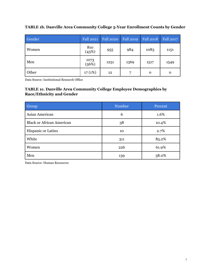| Gender | <b>Fall 2021</b>      | <b>Fall 2020</b> | <b>Fall 2019</b> | <b>Fall 2018</b> | <b>Fall 2017</b> |
|--------|-----------------------|------------------|------------------|------------------|------------------|
| Women  | 810<br>(43%)          | 955              | 984              | 1083             | 1151             |
| Men    | $\frac{1073}{(56\%)}$ | 1251             | 1369             | 1517             | 1549             |
| Other  | 17(1%)                | 12               | 7                | O                | 0                |

#### **TABLE 1b. Danville Area Community College 5-Year Enrollment Counts by Gender**

Data Source: Institutional Research Office

#### **TABLE 1c. Danville Area Community College Employee Demographics by Race/Ethnicity and Gender**

| Group                            | <b>Number</b> | Percent |
|----------------------------------|---------------|---------|
| Asian American                   | 6             | 1.6%    |
| <b>Black or African American</b> | 38            | 10.4%   |
| Hispanic or Latinx               | 10            | 2.7%    |
| White                            | 311           | 85.2%   |
| Women                            | 226           | 61.9%   |
| Men                              | 139           | 38.0%   |

Data Source: Human Resources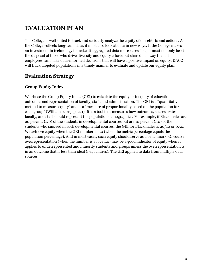# **EVALUATION PLAN**

The College is well suited to track and seriously analyze the equity of our efforts and actions. As the College collects long-term data, it must also look at data in new ways. If the College makes an investment in technology to make disaggregated data more accessible, it must not only be at the disposal of those who drive diversity and equity efforts but shared in a way that all employees can make data-informed decisions that will have a positive impact on equity. DACC will track targeted populations in a timely manner to evaluate and update our equity plan.

# **Evaluation Strategy**

### **Group Equity Index**

We chose the Group Equity Index (GEI) to calculate the equity or inequity of educational outcomes and representation of faculty, staff, and administration. The GEI is a "quantitative method to measure equity" and is a "measure of proportionality based on the population for each group" (Williams 2013, p. 271). It is a tool that measures how outcomes, success rates, faculty, and staff should represent the population demographics. For example, if Black males are 20 percent (.20) of the students in developmental courses but are 10 percent (.10) of the students who succeed in such developmental courses, the GEI for Black males is 20/10 or 0.50. We achieve equity when the GEI number is 1.0 (when the metric percentage equals the population percentage). And in most cases, such equity should serve as a benchmark. Of course, overrepresentation (when the number is above 1.0) may be a good indicator of equity when it applies to underrepresented and minority students and groups unless the overrepresentation is in an outcome that is less than ideal (i.e., failures). The GEI applied to data from multiple data sources.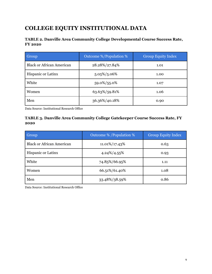# **COLLEGE EQUITY INSTITUTIONAL DATA**

# **TABLE 2. Danville Area Community College Developmental Course Success Rate, FY 2020**

| Group                            | Outcome %/Population % | <b>Group Equity Index</b> |
|----------------------------------|------------------------|---------------------------|
| <b>Black or African American</b> | 28.28%/27.84%          | 1.01                      |
| <b>Hispanic or Latinx</b>        | $5.05\%/5.06\%$        | 1.00                      |
| White                            | 59.0%/55.0%            | 1.07                      |
| Women                            | 63.63%/59.81%          | 1.06                      |
| Men                              | 36.36%/40.18%          | 0.90                      |

Data Source: Institutional Research Office

## **TABLE 3. Danville Area Community College Gatekeeper Course Success Rate, FY 2020**

| Group                            | Outcome % / Population % | <b>Group Equity Index</b> |
|----------------------------------|--------------------------|---------------------------|
| <b>Black or African American</b> | 11.01%/17.43%            | 0.63                      |
| <b>Hispanic or Latinx</b>        | 4.24%/4.55%              | 0.93                      |
| White                            | 74.85%/66.95%            | 1.11                      |
| Women                            | 66.51%/61.40%            | 1.08                      |
| Men                              | 33.48%/38.59%            | 0.86                      |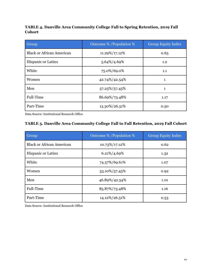# **TABLE 4. Danville Area Community College Fall to Spring Retention, 2019 Fall Cohort**

| Group                            | Outcome % / Population % | <b>Group Equity Index</b> |
|----------------------------------|--------------------------|---------------------------|
| <b>Black or African American</b> | 11.29%/17.12%            | 0.65                      |
| <b>Hispanic or Latinx</b>        | 5.64%/4.69%              | 1.2                       |
| White                            | 75.0%/69.0%              | 1.1                       |
| Women                            | 42.74%/42.54%            | $\mathbf{1}$              |
| Men                              | 57.25%/57.45%            | $\mathbf{1}$              |
| Full-Time                        | 86.69%/73.48%            | 1.17                      |
| Part-Time                        | 13.30%/26.51%            | 0.50                      |

Data Source: Institutional Research Office

# **TABLE 5. Danville Area Community College Fall to Fall Retention, 2019 Fall Cohort**

| <b>Group</b>                     | Outcome % / Population % | <b>Group Equity Index</b> |
|----------------------------------|--------------------------|---------------------------|
| <b>Black or African American</b> | 10.73%/17.12%            | 0.62                      |
| <b>Hispanic or Latinx</b>        | 6.21%/4.69%              | 1.32                      |
| White                            | 74.57%/69.61%            | 1.07                      |
| Women                            | 53.10%/57.45%            | 0.92                      |
| Men                              | 46.89%/42.54%            | 1.10                      |
| Full-Time                        | 85.87%/73.48%            | 1.16                      |
| Part-Time                        | 14.12%/26.51%            | 0.53                      |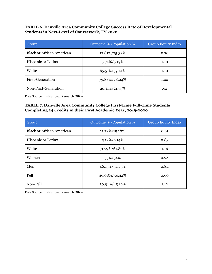### **TABLE 6. Danville Area Community College Success Rate of Developmental Students in Next-Level of Coursework, FY 2020**

| Group                            | Outcome % / Population % | <b>Group Equity Index</b> |
|----------------------------------|--------------------------|---------------------------|
| <b>Black or African American</b> | 17.81%/25.32%            | 0.70                      |
| <b>Hispanic or Latinx</b>        | 5.74%/5.19%              | 1.10                      |
| White                            | 65.51%/59.41%            | 1.10                      |
| First-Generation                 | 79.88%/78.24%            | 1.02                      |
| Non-First-Generation             | 20.11%/21.75%            | .92                       |

Data Source: Institutional Research Office

## **TABLE 7. Danville Area Community College First-Time Full-Time Students Completing 24 Credits in their First Academic Year, 2019-2020**

| Group                            | Outcome % / Population % | <b>Group Equity Index</b> |
|----------------------------------|--------------------------|---------------------------|
| <b>Black or African American</b> | 11.72%/19.18%            | 0.61                      |
| <b>Hispanic or Latinx</b>        | $5.12\%/6.14\%$          | 0.83                      |
| White                            | 71.79%/61.82%            | 1.16                      |
| Women                            | 53%/54%                  | 0.98                      |
| Men                              | 46.15%/54.75%            | 0.84                      |
| Pell                             | 49.08%/54.42%            | 0.90                      |
| Non-Pell                         | 50.91%/45.19%            | 1.12                      |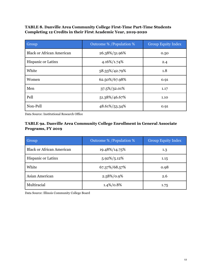**TABLE 8. Danville Area Community College First-Time Part-Time Students Completing 12 Credits in their First Academic Year, 2019-2020**

| Group                            | Outcome % / Population % | <b>Group Equity Index</b> |
|----------------------------------|--------------------------|---------------------------|
| <b>Black or African American</b> | 26.38%/51.96%            | 0.50                      |
| <b>Hispanic or Latinx</b>        | 4.16%/1.74%              | 2.4                       |
| White                            | 58.33%/42.79%            | 1.8                       |
| Women                            | 62.50%/67.98%            | 0.91                      |
| Men                              | 37.5%/32.01%             | 1.17                      |
| Pell                             | 51.38%/46.67%            | 1.10                      |
| Non-Pell                         | 48.61%/53.34%            | 0.91                      |

Data Source: Institutional Research Office

# **TABLE 9a. Danville Area Community College Enrollment in General Associate Programs, FY 2019**

| Group                            | Outcome % / Population % | <b>Group Equity Index</b> |
|----------------------------------|--------------------------|---------------------------|
| <b>Black or African American</b> | 19.48%/14.75%            | 1.3                       |
| Hispanic or Latinx               | $5.92\%/5.12\%$          | 1.15                      |
| White                            | 67.37%/68.57%            | 0.98                      |
| Asian American                   | $2.58\%/0.9\%$           | 2.6                       |
| Multiracial                      | $1.4\%/0.8\%$            | 1.75                      |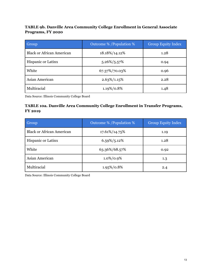# **TABLE 9b. Danville Area Community College Enrollment in General Associate Programs, FY 2020**

| Group                            | Outcome % / Population % | <b>Group Equity Index</b> |
|----------------------------------|--------------------------|---------------------------|
| <b>Black or African American</b> | 18.18%/14.12%            | 1.28                      |
| <b>Hispanic or Latinx</b>        | $5.26\%/5.57\%$          | 0.94                      |
| White                            | 67.37%/70.03%            | 0.96                      |
| Asian American                   | $2.63\%/1.15\%$          | 2.28                      |
| Multiracial                      | 1.19%/0.8%               | 1.48                      |

Data Source: Illinois Community College Board

# **TABLE 10a. Danville Area Community College Enrollment in Transfer Programs, FY 2019**

| Group                            | Outcome % / Population % | <b>Group Equity Index</b> |
|----------------------------------|--------------------------|---------------------------|
| <b>Black or African American</b> | 17.61%/14.75%            | 1.19                      |
| Hispanic or Latinx               | $6.59\%/5.12\%$          | 1.28                      |
| White                            | 63.36%/68.57%            | 0.92                      |
| Asian American                   | $1.0\%/0.9\%$            | 1.3                       |
| Multiracial                      | 1.95%/0.8%               | 2.4                       |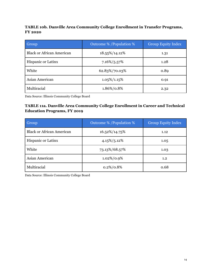## **TABLE 10b. Danville Area Community College Enrollment in Transfer Programs, FY 2020**

| Group                            | Outcome % / Population % | <b>Group Equity Index</b> |
|----------------------------------|--------------------------|---------------------------|
| <b>Black or African American</b> | 18.55%/14.12%            | 1.31                      |
| <b>Hispanic or Latinx</b>        | 7.16%/5.57%              | 1.28                      |
| White                            | 62.83%/70.03%            | 0.89                      |
| Asian American                   | $1.05\%/1.15\%$          | 0.91                      |
| Multiracial                      | 1.86%/0.8%               | 2.32                      |

Data Source: Illinois Community College Board

## **TABLE 11a. Danville Area Community College Enrollment in Career and Technical Education Programs, FY 2019**

| Group                            | Outcome % / Population % | <b>Group Equity Index</b> |
|----------------------------------|--------------------------|---------------------------|
| <b>Black or African American</b> | 16.52%/14.75%            | 1.12                      |
| <b>Hispanic or Latinx</b>        | $4.15\%/5.12\%$          | 1.05                      |
| White                            | 73.13%/68.57%            | 1.03                      |
| Asian American                   | $1.02\%/0.9\%$           | 1.2                       |
| Multiracial                      | $0.2\%/0.8\%$            | 0.68                      |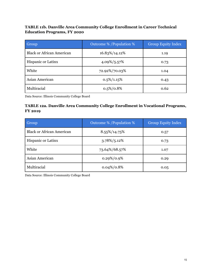### **TABLE 11b. Danville Area Community College Enrollment in Career Technical Education Programs, FY 2020**

| Group                            | Outcome % / Population % | <b>Group Equity Index</b> |
|----------------------------------|--------------------------|---------------------------|
| <b>Black or African American</b> | 16.83%/14.12%            | 1.19                      |
| Hispanic or Latinx               | 4.09%/5.57%              | 0.73                      |
| White                            | 72.92%/70.03%            | 1.04                      |
| Asian American                   | $0.5\%/1.15\%$           | 0.43                      |
| Multiracial                      | $0.5\%/0.8\%$            | 0.62                      |

Data Source: Illinois Community College Board

# **TABLE 12a. Danville Area Community College Enrollment in Vocational Programs, FY 2019**

| Group                            | Outcome % / Population % | <b>Group Equity Index</b> |
|----------------------------------|--------------------------|---------------------------|
| <b>Black or African American</b> | 8.55%/14.75%             | 0.57                      |
| <b>Hispanic or Latinx</b>        | $3.78\%/5.12\%$          | 0.73                      |
| White                            | 73.64%/68.57%            | 1.07                      |
| Asian American                   | $0.29\%/0.9\%$           | 0.29                      |
| Multiracial                      | $0.04\%/0.8\%$           | 0.05                      |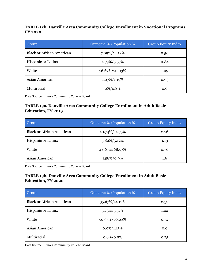# **TABLE 12b. Danville Area Community College Enrollment in Vocational Programs, FY 2020**

| Group                            | Outcome % / Population % | <b>Group Equity Index</b> |
|----------------------------------|--------------------------|---------------------------|
| <b>Black or African American</b> | 7.09%/14.12%             | 0.50                      |
| Hispanic or Latinx               | $4.73\%/5.57\%$          | 0.84                      |
| White                            | 76.67%/70.03%            | 1.09                      |
| Asian American                   | $1.07\%/1.15\%$          | 0.93                      |
| Multiracial                      | $0\%/0.8\%$              | 0.0                       |

Data Source: Illinois Community College Board

# **TABLE 13a. Danville Area Community College Enrollment in Adult Basic Education, FY 2019**

| Group                            | Outcome % / Population % | <b>Group Equity Index</b> |
|----------------------------------|--------------------------|---------------------------|
| <b>Black or African American</b> | 40.74%/14.75%            | 2.76                      |
| <b>Hispanic or Latinx</b>        | $5.82\%/5.12\%$          | 1.13                      |
| White                            | 48.67%/68.57%            | 0.70                      |
| Asian American                   | 1.58%/0.9%               | 1.6                       |

Data Source: Illinois Community College Board

# **TABLE 13b. Danville Area Community College Enrollment in Adult Basic Education, FY 2020**

| Group                            | Outcome % / Population % | <b>Group Equity Index</b> |
|----------------------------------|--------------------------|---------------------------|
| <b>Black or African American</b> | 35.67%/14.12%            | 2.52                      |
| <b>Hispanic or Latinx</b>        | 5.73%/5.57%              | 1.02                      |
| White                            | 50.95%/70.03%            | 0.72                      |
| Asian American                   | $0.0\%/1.15\%$           | 0.0                       |
| Multiracial                      | $0.6\%/0.8\%$            | 0.75                      |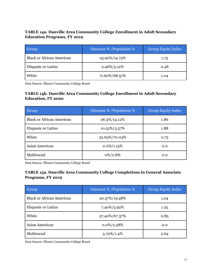# **TABLE 14a. Danville Area Community College Enrollment in Adult Secondary Education Programs, FY 2019**

| Group                            | Outcome % / Population % | <b>Group Equity Index</b> |
|----------------------------------|--------------------------|---------------------------|
| <b>Black or African American</b> | 25.92%/14.75%            | 1.75                      |
| <b>Hispanic or Latinx</b>        | $2.46\%/5.12\%$          | 0.48                      |
| White                            | 71.60%/68.57%            | 1.04                      |

Data Source: Illinois Community College Board

#### **TABLE 14b. Danville Area Community College Enrollment in Adult Secondary Education, FY 2020**

| Group                            | Outcome % / Population % | <b>Group Equity Index</b> |
|----------------------------------|--------------------------|---------------------------|
| <b>Black or African American</b> | 26.3%/14.12%             | 1.86                      |
| <b>Hispanic or Latinx</b>        | $10.52\%/5.57\%$         | 1.88                      |
| White                            | 52.63%/70.03%            | 0.75                      |
| Asian American                   | $0.0\%/1.15\%$           | 0.0                       |
| Multiracial                      | $0\%/0.8\%$              | 0.0                       |

Data Source: Illinois Community College Board

# **TABLE 15a. Danville Area Community College Completions in General Associate Programs, FY 2019**

| Group                            | Outcome % / Population % | <b>Group Equity Index</b> |
|----------------------------------|--------------------------|---------------------------|
| <b>Black or African American</b> | 20.37%/19.48%            | 1.04                      |
| <b>Hispanic or Latinx</b>        | 7.40%/5.92%              | 1.25                      |
| White                            | 57.40%/67.37%            | 0.85                      |
| Asian American                   | $0.0\%/2.58\%$           | 0.0                       |
| Multiracial                      | $3.70\%/1.4\%$           | 2.64                      |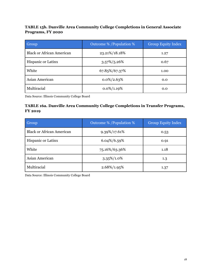# **TABLE 15b. Danville Area Community College Completions in General Associate Programs, FY 2020**

| Group                            | Outcome % / Population % | <b>Group Equity Index</b> |
|----------------------------------|--------------------------|---------------------------|
| <b>Black or African American</b> | 23.21%/18.18%            | 1.27                      |
| <b>Hispanic or Latinx</b>        | $3.57\%/5.26\%$          | 0.67                      |
| White                            | 67.85%/67.37%            | 1.00                      |
| Asian American                   | $0.0\%/2.63\%$           | 0.0                       |
| Multiracial                      | $0.0\%/1.19\%$           | 0.0                       |

Data Source: Illinois Community College Board

# **TABLE 16a. Danville Area Community College Completions in Transfer Programs, FY 2019**

| Group                            | Outcome % / Population $\%$ | <b>Group Equity Index</b> |
|----------------------------------|-----------------------------|---------------------------|
| <b>Black or African American</b> | 9.39%/17.61%                | 0.53                      |
| Hispanic or Latinx               | $6.04\%/6.59\%$             | 0.91                      |
| White                            | 75.16%/63.36%               | 1.18                      |
| Asian American                   | $3.35\%/1.0\%$              | 1.3                       |
| Multiracial                      | $2.68\%/1.95\%$             | 1.37                      |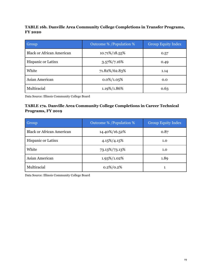## **TABLE 16b. Danville Area Community College Completions in Transfer Programs, FY 2020**

| Group                            | Outcome % / Population % | <b>Group Equity Index</b> |
|----------------------------------|--------------------------|---------------------------|
| <b>Black or African American</b> | 10.71%/18.55%            | 0.57                      |
| Hispanic or Latinx               | $3.57\%/7.16\%$          | 0.49                      |
| White                            | 71.82%/62.83%            | 1.14                      |
| Asian American                   | $0.0\%/1.05\%$           | 0.0                       |
| Multiracial                      | 1.19%/1.86%              | 0.63                      |

Data Source: Illinois Community College Board

# **TABLE 17a. Danville Area Community College Completions in Career Technical Programs, FY 2019**

| Group                            | Outcome % / Population % | <b>Group Equity Index</b> |
|----------------------------------|--------------------------|---------------------------|
| <b>Black or African American</b> | 14.40%/16.52%            | 0.87                      |
| <b>Hispanic or Latinx</b>        | $4.15\%/4.15\%$          | 1.0                       |
| White                            | 73.13%/73.13%            | 1.0                       |
| Asian American                   | 1.93%/1.02%              | 1.89                      |
| Multiracial                      | $0.2\%/0.2\%$            |                           |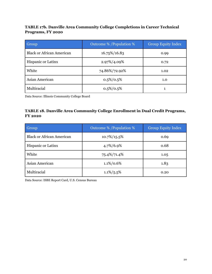# **TABLE 17b. Danville Area Community College Completions in Career Technical Programs, FY 2020**

| Group                            | Outcome % / Population % | <b>Group Equity Index</b> |
|----------------------------------|--------------------------|---------------------------|
| <b>Black or African American</b> | 16.75%/16.83             | 0.99                      |
| Hispanic or Latinx               | 2.97%/4.09%              | 0.72                      |
| White                            | 74.86%/72.92%            | 1.02                      |
| Asian American                   | $0.5\%/0.5\%$            | 1.0                       |
| Multiracial                      | $0.5\%/0.5\%$            |                           |

Data Source: Illinois Community College Board

#### **TABLE 18. Danville Area Community College Enrollment in Dual Credit Programs, FY 2020**

| Group                            | Outcome % / Population $%$ | <b>Group Equity Index</b> |
|----------------------------------|----------------------------|---------------------------|
| <b>Black or African American</b> | $10.7\%/15.5\%$            | 0.69                      |
| Hispanic or Latinx               | 4.7%/6.9%                  | 0.68                      |
| White                            | 75.4%/71.4%                | 1.05                      |
| Asian American                   | $1.1\%/0.6\%$              | 1.83                      |
| Multiracial                      | $1.1\%/5.5\%$              | 0.20                      |

Data Source: ISBE Report Card, U.S. Census Bureau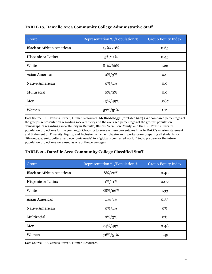| Group                            | Representation % / Population % | <b>Group Equity Index</b> |
|----------------------------------|---------------------------------|---------------------------|
| <b>Black or African American</b> | 13%/20%                         | 0.65                      |
| Hispanic or Latinx               | $5\%/11\%$                      | 0.45                      |
| White                            | 81%/66%                         | 1.22                      |
| Asian American                   | $0\%/3\%$                       | 0.0                       |
| <b>Native American</b>           | $0\%/1\%$                       | 0.0                       |
| Multiracial                      | $0\%/3\%$                       | 0.0                       |
| Men                              | 43%/49%                         | .087                      |
| Women                            | 57%/51%                         | 1.11                      |

# **TABLE 19. Danville Area Community College Administrative Staff**

Data Source: U.S. Census Bureau, Human Resources. **Methodology**: (for Table 19-23) We compared percentages of the groups' representation regarding race/ethnicity and the averaged percentages of the groups' population demographics regarding race/ethnicity in Danville, Illinois, Vermilion County, and the U.S. Census Bureau's population projections for the year 2030. Choosing to average these percentages links to DACC's mission statement and Statement on Diversity, Equity, and Inclusion, which emphasize an importance on preparing all students for "lifelong academic, cultural and economic needs" in a "globally connected world." So, to prepare for the future, population projections were used as one of the percentages.

#### **TABLE 20. Danville Area Community College Classified Staff**

| Group                            | Representation % / Population % | <b>Group Equity Index</b> |
|----------------------------------|---------------------------------|---------------------------|
| <b>Black or African American</b> | 8%/20%                          | 0.40                      |
| Hispanic or Latinx               | $1\%/11\%$                      | 0.09                      |
| White                            | 88%/66%                         | 1.33                      |
| Asian American                   | $1\%/3\%$                       | 0.33                      |
| <b>Native American</b>           | $0\%/1\%$                       | 0%                        |
| Multiracial                      | $0\%/3\%$                       | 0%                        |
| Men                              | 24%/49%                         | 0.48                      |
| Women                            | 76%/51%                         | 1.49                      |

Data Source: U.S. Census Bureau, Human Resources.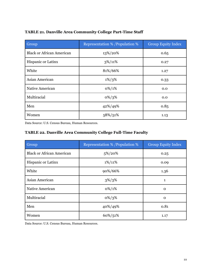| Group                            | Representation % / Population % | <b>Group Equity Index</b> |
|----------------------------------|---------------------------------|---------------------------|
| <b>Black or African American</b> | 13%/20%                         | 0.65                      |
| Hispanic or Latinx               | $3\%/11\%$                      | 0.27                      |
| White                            | 81%/66%                         | 1.27                      |
| Asian American                   | $1\%/3\%$                       | 0.33                      |
| Native American                  | $0\%/1\%$                       | 0.0                       |
| Multiracial                      | $0\%/3\%$                       | 0.0                       |
| Men                              | 42%/49%                         | 0.85                      |
| Women                            | 58%/51%                         | 1.13                      |

### **TABLE 21. Danville Area Community College Part-Time Staff**

Data Source: U.S. Census Bureau, Human Resources.

# **TABLE 22. Danville Area Community College Full-Time Faculty**

| Group                            | <b>Representation % / Population %</b> | <b>Group Equity Index</b> |
|----------------------------------|----------------------------------------|---------------------------|
| <b>Black or African American</b> | 5%/20%                                 | 0.25                      |
| Hispanic or Latinx               | $1\%/11\%$                             | 0.09                      |
| White                            | 90%/66%                                | 1.36                      |
| Asian American                   | $3\%/3\%$                              | $\mathbf{1}$              |
| Native American                  | $0\%/1\%$                              | $\mathbf 0$               |
| Multiracial                      | $0\%/3\%$                              | $\mathbf 0$               |
| Men                              | 40%/49%                                | 0.81                      |
| Women                            | 60%/51%                                | 1.17                      |

Data Source: U.S. Census Bureau, Human Resources.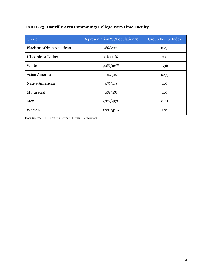| Group                            | <b>Representation % /Population %</b> | <b>Group Equity Index</b> |
|----------------------------------|---------------------------------------|---------------------------|
| <b>Black or African American</b> | 9%/20%                                | 0.45                      |
| Hispanic or Latinx               | $0\%/11\%$                            | 0.0                       |
| White                            | 90%/66%                               | 1.36                      |
| Asian American                   | $1\%/3\%$                             | 0.33                      |
| Native American                  | $0\%/1\%$                             | 0.0                       |
| Multiracial                      | $0\%/3\%$                             | 0.0                       |
| Men                              | 38%/49%                               | 0.61                      |
| Women                            | 62%/51%                               | 1.21                      |

Data Source: U.S. Census Bureau, Human Resources.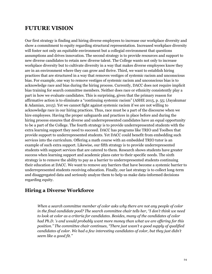# **FUTURE VISION**

Our first strategy is finding and hiring diverse employees to increase our workplace diversity and show a commitment to equity regarding structural representation. Increased workplace diversity will foster not only an equitable environment but a collegial environment that questions assumptions and drives innovation. The second strategy is to provide resources and support to new diverse candidates to retain new diverse talent. The College wants not only to increase workplace diversity but to cultivate diversity in a way that makes diverse employees know they are in an environment where they can grow and thrive. Third, we want to establish hiring practices that are structured in a way that removes vestiges of systemic racism and unconscious bias. For example, one way to remove vestiges of systemic racism and unconscious bias is to acknowledge race and bias during the hiring process. Currently, DACC does not require implicit bias training for search committee members. Neither does race or ethnicity consistently play a part in how we evaluate candidates. This is surprising, given that the primary reason for affirmative action is to eliminate a "continuing systemic racism" (ASHE 2015, p. 55; (Jayakumar & Adamian, 2015). Yet we cannot fight against systemic racism if we are not willing to acknowledge race in our hiring practices. Thus, race must be a part of the discourse when we hire employees. Having the proper safeguards and practices in place before and during the hiring process ensures that diverse and underrepresented candidates have an equal opportunity to be a part of the College. The fourth strategy is to provide underrepresented students with the extra learning support they need to succeed. DACC has programs like TRIO and Toolbox that provide support to underrepresented students. Yet DACC could benefit from embedding such services into the curriculum. Offering a math course with an embedded TRIO tutor is an example of such extra support. Likewise, our fifth strategy is to provide underrepresented students with support services that are catered to them. Research shows students have greater success when learning support and academic plans cater to their specific needs. The sixth strategy is to remove the ability to pay as a barrier to underrepresented students continuing their education at DACC. We want to remove any barriers that have become a systemic barrier to underrepresented students receiving education. Finally, our last strategy is to collect long-term and disaggregated data and seriously analyze them to help us make data-informed decisions regarding equity.

# **Hiring a Diverse Workforce**

*When a search committee member of color asks why there are not any people of color in the final candidate pool? The search committee chair tells her, "I don't think we need to look at color as a criteria for candidates. Besides, many of the candidates of color had Ph.D. 's and would probably want more money than what we are of ering for this position." The committee chair continues, "There just wasn't a good supply of qualified candidates of color. We had a few interesting candidates of color, but they just didn't seem like a good fit."*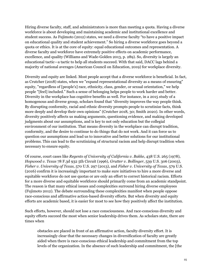Hiring diverse faculty, staff, and administrators is more than meeting a quota. Having a diverse workforce is about developing and maintaining academic and institutional excellence and student success. As Fujimoto (2012) states, we need a diverse faculty "to have a positive impact on educational quality and student achievement." So hiring a diverse workforce goes beyond a quota or ethics. It is at the core of equity: equal educational outcomes and representation. A diverse faculty and workforce have extremely positive effects on academic performance, excellence, and quality (Williams and Wade-Golden 2013, p. 289). So, diversity is largely an educational tactic—a tactic to help all students succeed. With that said, DACC lags behind a majority of national averages (American Council on Education, 2019) for workplace diversity.

Diversity and equity are linked. Most people accept that a diverse workforce is beneficial. In fact, as Crutcher (2018) states, when we "expand representational diversity as a means of ensuring" equity, "regardless of [people's] race, ethnicity, class, gender, or sexual orientation," we help people "[feel] included." Such a sense of belonging helps people to work harder and better. Diversity in the workplace has cognitive benefits as well. For instance, in a 2015 study of a homogenous and diverse group, scholars found that "diversity improves the way people think. By disrupting conformity, racial and ethnic diversity prompts people to scrutinize facts, think more deeply and develop their own opinions" (Crutcher 2018, 30; Smith 2020). In other words, diversity positively affects us making arguments, questioning evidence, and making developed judgments about our assumptions, and is key to not only education but the collegial environment of our institution. That means diversity in the workplace can disrupt tradition, conformity, and the desire to continue to do things that do not work. And it can force us to question our assumptions and lead us to innovative and better solutions for our institutional problems. This can lead to the scrutinizing of structural racism and help disrupt tradition when necessary to ensure equity.

Of course, court cases like *Regents of University of California v. Bakke*, 438 U.S. 265 (1978), *Hopwood v. Texas* 78 F.3d 932 5th Circuit (1996), *Grutter v. Bollinger*, 539 U.S. 306 (2003), *Fisher v. University of Texas*, 570 U.S. 297 (2013), and *Fisher v. University of Texas*, 579 U.S. (2016) confirm it is increasingly important to make sure initiatives to hire a more diverse and equitable workforce do not use quotas or are only an effort to correct historical racism. Efforts for a more diverse and equitable workforce should primarily come from an academic standpoint. The reason is that many ethical issues and complexities surround hiring diverse employees (Fujimoto 2012). The debate surrounding these complexities manifest when people oppose race-conscious and affirmative action-based diversity efforts. But when diversity and equity efforts are academic based, it is easier for most to see how they positively affect the institution.

Such efforts, however, should not lose a race consciousness. And race-conscious diversity and equity efforts succeed the most when senior leadership drives them. As scholars state, there are times when

obstacles are placed in front of an affirmative action, faculty diversity effort. It is increasingly clear that the necessary changes in diversification of faculty are greatly aided when there is race-conscious ethical leadership and commitment from the top levels of the organization. In the absence of such leadership and commitment, the [the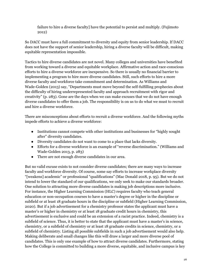failure to hire a diverse faculty] have the potential to persist and multiply. (Fujimoto 2012)

So DACC must have a full commitment to diversity and equity from senior leadership. If DACC does not have the support of senior leadership, hiring a diverse faculty will be difficult, making equitable representation impossible.

Tactics to hire diverse candidates are not novel. Many colleges and universities have benefited from working toward a diverse and equitable workplace. Affirmative action and race-conscious efforts to hire a diverse workforce are inexpensive. So there is usually no financial barrier to implementing a program to hire more diverse candidates. Still, such efforts to hire a more diverse faculty and workforce take commitment and determination. As Williams and Wade-Golden (2013) say, "Departments must move beyond the self-fulfilling prophecies about the difficulty of hiring underrepresented faculty and approach recruitment with rigor and creativity" (p. 283). Gone are the days when we can make excuses that we do not have enough diverse candidates to offer them a job. The responsibility is on us to do what we must to recruit and hire a diverse workforce.

There are misconceptions about efforts to recruit a diverse workforce. And the following myths impede efforts to achieve a diverse workforce:

- Institutions cannot compete with other institutions and businesses for "highly sought after" diversity candidates.
- Diversity candidates do not want to come to a place that lacks diversity.
- Efforts for a diverse workforce is an example of "reverse discrimination." (Williams and Wade-Golden 2013, p. 283)
- There are not enough diverse candidates in our area.

But no valid excuse exists to not consider diverse candidates; there are many ways to increase faculty and workforce diversity. Of course, some say efforts to increase workplace diversity "[weakens] academic" or professional "qualifications" (Mac Donald 2018, p. 95). But we do not intend to lower the standard of our qualifications, we only seek to make our standards broader. One solution to attracting more diverse candidates is making job descriptions more inclusive. For instance, the Higher Learning Commission (HLC) requires faculty who teach general education or non-occupation courses to have a master's degree or higher in the discipline or subfield or at least 18 graduate hours in the discipline or subfield (Higher Learning Commission, 2020). But if a job advertisement for a chemistry professor states the applicant must have a master's or higher in chemistry or at least 18 graduate credit hours in chemistry, this advertisement is exclusive and could be an extension of a racist practice. Indeed, chemistry is a subfield of science. Thus, it is better to state that the applicant must have a master's in science, chemistry, or a subfield of chemistry or at least 18 graduate credits in science, chemistry, or a subfield of chemistry. Listing all possible subfields in such a job advertisement would also help. Making deliberate and small changes like this will draw a larger and more diverse pool of candidates. This is only one example of how to attract diverse candidates. Furthermore, stating how the College is committed to building a more diverse, equitable, and inclusive campus is key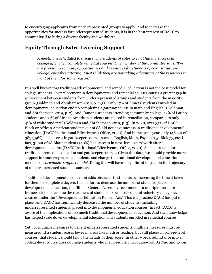to encouraging applicants from underrepresented groups to apply. And to increase the opportunities for success for underrepresented students, it is in the best interest of DACC to commit itself to hiring a diverse faculty and workforce.

# **Equity Through Extra Learning Support**

*A meeting is scheduled to discuss why students of color are not having success in college after they complete remedial courses. One member of the committee says, "We are providing so many opportunities and resources for students of color to succeed in college, even free tutoring. I just think they are not taking advantage of the resources in front of them for some reason."*

It is well known that traditional developmental and remedial education is not the best model for college students. Over-placement in developmental and remedial courses causes a greater gap in achievement between students from underrepresented groups and students from the majority group (Goldman and Abrahamson 2019, p. 2-3). "Only 17% of Illinois' students enrolled in developmental education end up completing a gateway course in math and English" (Goldman and Abrahamson 2019, p. 2). And, "among students attending community college, 62% of Latino students and 71% of African American students are placed in remediation, compared to only 41% of white students" (Goldman and Abrahamson 2019, p. 3). In 2020, over 35% of DACC Black or African American students out of 88 did not have success in traditional developmental education (DACC Institutional Effectiveness Office, 2020). And in the same year, only 148 out of 383 (39%) had success in gatekeeper courses such as English, Math, Psychology, Biology, etc. In fact, 31 out of 78 Black students (40%) had success in next-level coursework after a developmental course (DACC Institutional Effectiveness Office, 2020). Such data exist for traditional remedial education and gatekeeper courses. Given this data, we should provide more support for underrepresented students and change the traditional developmental education model to a *corequisite support model*. Doing this will have a significant impact on the trajectory of underrepresented students' success.

Traditional developmental education adds obstacles to students by increasing the time it takes for them to complete a degree. In an effort to decrease the number of students placed in developmental education, the Illinois General Assembly recommends a multiple-measure framework to determine the readiness of students to be enrolled in introductory college-level courses under the "Developmental Education Reform Act." This is a practice DACC has put in place. And DACC has significantly decreased the number of students, including underrepresented students, placed into developmental education courses. In fact, DACC is aware of the implications of too much traditional developmental education. And such knowledge has helped scale down developmental education and students enrolled in remedial courses.

Yet, for multiple measures to benefit underrepresented students, multiple measures must be measured. If a student scores lower in areas like math or reading, but still places in college-level courses, that student should know the details of their score. In other words, admittance into a college-level course does not help students who may need help in coursework. As Ngo and Kwon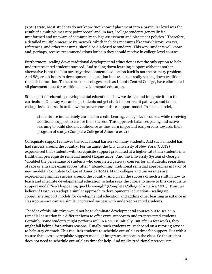(2014) state, Most students do not know "not know if placement into a particular level was the result of a multiple measure point boost" and, in fact, "college students generally feel uninformed and unaware of community college assessment and placement policies." Therefore, a detailed multiple-measure framework, which includes measures like work history, essays, references, and other measures, should be disclosed to students. This way, students will know and, perhaps, receive recommendations for help they should receive in college-level courses.

Furthermore, scaling down traditional developmental education is not the only option to help underrepresented students succeed. And scaling down learning support without another alternative is not the best strategy; developmental education itself is not the primary problem. And 883 credit hours in developmental education in 2021 is not really scaling down traditional remedial education. To be sure, some colleges, such as Illinois Central College, have eliminated all placement tests for traditional developmental education.

Still, a part of reforming developmental education is how we design and integrate it into the curriculum. One way we can help students not get stuck in non-credit pathways and fail in college-level courses is to follow the proven corequisite support model. In such a model,

students are immediately enrolled in credit-bearing, college-level courses while receiving additional support to ensure their success. This approach balances pacing and active learning to build student confidence as they earn important early credits towards their program of study. (Complete College of America 2021)

Corequisite support removes the educational barriers of many students. And such a model has had success around the country. For instance, the City University of New York (CUNY) experienced that students with corequisite support graduated at a higher rate than students in a traditional prerequisite remedial model (Logue 2019). And the University System of Georgia "doubled the percentage of students who completed gateway courses for all students, regardless of race or entrance exam scores" after "[abandoning] traditional remedial approaches in favor of new models" (Complete College of America 2021). Many colleges and universities are experiencing similar success around the country. And given the success of such a shift in how to teach and integrate developmental education, scholars say the choice to move to this corequisite support model "isn't happening quickly enough" (Complete College of America 2021). Thus, we believe if DACC can adopt a similar approach to developmental education—scaling up corequisite support models for developmental education and adding other learning assistance in classrooms—we can see similar increased success with underrepresented students.

The idea of this initiative would not be to eliminate developmental courses but to scale up remedial education in a different form to offer extra support to underrepresented students. Certainly, some students might perform well in a course initially. But after a few weeks, they might fall behind for various reasons. Usually, such students must depend on a tutoring service to help stay on track. This requires students to schedule out-of-class time for support. But with a course that uses a corequisite support model, it integrates support in the class. So the student does not need to schedule out-of-class time for help. And unlike traditional prerequisite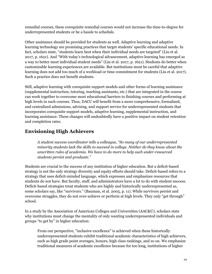remedial courses, these corequisite remedial courses would not increase the time-to-degree for underrepresented students or be a hassle to schedule.

Other assistance should be provided for students as well. Adaptive learning and adaptive learning technology are promising practices that target students' specific educational needs. In fact, scholars state, "students learn best when their individual needs are targeted" (Liu et al. 2017, p. 1621). And "With today's technological advancement, adaptive learning has emerged as a way to better meet individual student needs" (Liu et al. 2017, p. 1621). Students do better when customizable learning experiences are available. But institutions must be careful that adaptive learning does not add too much of a workload or time commitment for students (Liu et al. 2017). Such a practice does not benefit students.

Still, adaptive learning with corequisite support models and other forms of learning assistance (supplemental instruction, tutoring, teaching assistants, etc.) that are integrated in the course can work together to overcome most educational barriers to finishing courses and performing at high levels in such courses. Thus, DACC will benefit from a more comprehensive, formalized, and centralized admissions, advising, and support service for underrepresented students that incorporates corequisite support models, adaptive learning, supplemental instruction, and learning assistance. These changes will undoubtedly have a positive impact on student retention and completion rates.

# **Envisioning High Achievers**

*A student success coordinator tells a colleague, "So many of our underrepresented minority students lack the skills to succeed in college. Neither do they know about the unwritten rules of academia. We have to do more to help such under-resourced students persist and graduate."*

Students are crucial to the success of any institution of higher education. But a deficit-based strategy is not the only strategy diversity and equity efforts should take. Deficit-based refers to a strategy that uses deficit-minded language, which expresses and emphasizes resources that students do not have. But faculty, staff, and administrators have a lot to do with student success. Deficit-based strategies treat students who are highly and historically underrepresented as, some scholars say, like "survivors." (Bauman, et al. 2005, p. 11). While survivors persist and overcome struggles, they do not over-achieve or perform at high levels. They only "get through" school.

In a study by the Association of American Colleges and Universities (AAC&U), scholars state why institutions must change the mentality of only wanting underrepresented individuals and groups "to get by" in higher education:

From our perspective, "inclusive excellence" is achieved when these historically underrepresented students exhibit traditional academic characteristics of high achievers, such as high grade point averages, honors, high class rankings, and so on. We emphasize traditional measures of academic excellence because for too long, institutions of higher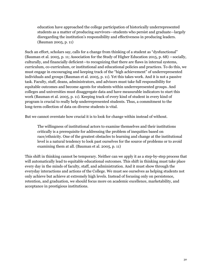education have approached the college participation of historically underrepresented students as a matter of producing survivors—students who persist and graduate—largely disregarding the institution's responsibility and effectiveness in producing leaders. (Bauman 2005, p. 11)

Such an effort, scholars say, calls for a change from thinking of a student as "dysfunctional" (Bauman et al. 2005, p. 11; Association for the Study of Higher Education 2015, p. 68) —socially, culturally, and financially deficient—to recognizing that there are flaws in internal systems, curriculum, co-curriculum, or institutional and educational policies and practices. To do this, we must engage in encouraging and keeping track of the "high achievement" of underrepresented individuals and groups (Bauman et al. 2005, p. 11). Yet this takes work. And it is not a passive task. Faculty, staff, deans, administrators, and advisors must take full responsibility for equitable outcomes and become agents for students within underrepresented groups. And colleges and universities must disaggregate data and have measurable indicators to start this work (Bauman et al. 2005, p. 11). Keeping track of every kind of student in every kind of program is crucial to really help underrepresented students. Thus, a commitment to the long-term collection of data on diverse students is vital.

But we cannot overstate how crucial it is to look for change within instead of without.

The willingness of institutional actors to examine themselves and their institutions critically is a prerequisite for addressing the problem of inequities based on race/ethnicity. One of the greatest obstacles to learning and change at the institutional level is a natural tendency to look past ourselves for the source of problems or to avoid examining them at all. (Bauman et al. 2005, p. 11)

This shift in thinking cannot be temporary. Neither can we apply it as a step-by-step process that will automatically lead to equitable educational outcomes. This shift in thinking must take place every day in the minds of faculty, staff, and administration. And it must show through the everyday interactions and actions of the College. We must see ourselves as helping students not only achieve but achieve at extremely high levels. Instead of focusing only on persistence, retention, and graduation, we should focus more on academic excellence, marketability, and acceptance in prestigious institutions.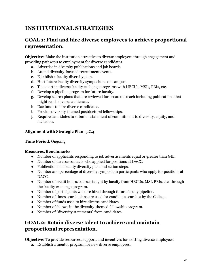# **INSTITUTIONAL STRATEGIES**

# **GOAL 1: Find and hire diverse employees to achieve proportional representation.**

**Objective:** Make the institution attractive to diverse employees through engagement and providing pathways to employment for diverse candidates.

- a. Advertise in diversity publications and job boards.
- b. Attend diversity-focused recruitment events.
- c. Establish a faculty diversity plan.
- d. Host future faculty diversity symposiums on campus.
- e. Take part in diverse faculty exchange programs with HBCUs, MSIs, PBIs, etc.
- f. Develop a pipeline program for future faculty.
- g. Develop search plans that are reviewed for broad outreach including publications that might reach diverse audiences.
- h. Use funds to hire diverse candidates.
- i. Provide diversity-themed postdoctoral fellowships.
- j. Require candidates to submit a statement of commitment to diversity, equity, and inclusion.

#### **Alignment with Strategic Plan**: 3.C.4

#### **Time Period**: Ongoing

#### **Measures/Benchmarks**

- Number of applicants responding to job advertisements equal or greater than GEI.
- Number of diverse contacts who applied for positions at DACC.
- Publication of a faculty diversity plan and action steps.
- Number and percentage of diversity symposium participants who apply for positions at DACC.
- Number of credit hours/courses taught by faculty from HBCUs, MSI, PBIs, etc. through the faculty exchange program.
- Number of participants who are hired through future faculty pipeline.
- Number of times search plans are used for candidate searches by the College.
- Number of funds used to hire diverse candidates.
- Number of fellows in the diversity-themed fellowship program.
- Number of "diversity statements" from candidates.

# **GOAL 2: Retain diverse talent to achieve and maintain proportional representation.**

**Objective:** To provide resources, support, and incentives for existing diverse employees.

a. Establish a mentor program for new diverse employees.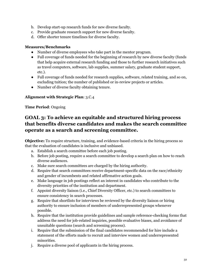- b. Develop start-up research funds for new diverse faculty.
- c. Provide graduate research support for new diverse faculty.
- d. Offer shorter tenure timelines for diverse faculty.

#### **Measures/Benchmarks**

- Number of diverse employees who take part in the mentor program.
- Full coverage of funds needed for the beginning of research by new diverse faculty (funds that help acquire external research funding and those to further research initiatives such as travel computers, software, lab supplies, summer salary, graduate student support, etc.).
- Full coverage of funds needed for research supplies, software, related training, and so on, excluding tuition; the number of published or in-review projects or articles.
- Number of diverse faculty obtaining tenure.

#### **Alignment with Strategic Plan**: 3.C.4

**Time Period**: Ongoing

# **GOAL 3: To achieve an equitable and structured hiring process that benefits diverse candidates and makes the search committee operate as a search and screening committee.**

**Objective:** To require structure, training, and evidence-based criteria in the hiring process so that the evaluation of candidates is inclusive and unbiased.

- a. Establish a search committee before each job posting.
- b. Before job posting, require a search committee to develop a search plan on how to reach diverse audiences.
- c. Make sure search committees are charged by the hiring authority.
- d. Require that search committees receive department-specific data on the race/ethnicity and gender of incumbents and related affirmative action goals.
- e. Make language in job postings reflect an interest in candidates who contribute to the diversity priorities of the institution and department.
- f. Appoint diversity liaison (i.e., Chief Diversity Officer, etc.) to search committees to ensure consistency in search processes.
- g. Require that shortlists for interviews be reviewed by the diversity liaison or hiring authority to ensure inclusion of members of underrepresented groups whenever possible.
- h. Require that the institution provide guidelines and sample reference-checking forms that address the need for job-related inquiries, possible evaluative biases, and avoidance of unsuitable questions (search and screening process).
- i. Require that the submission of the final candidates recommended for hire include a statement of the efforts made to recruit and interview women and underrepresented minorities.
- j. Require a diverse pool of applicants in the hiring process.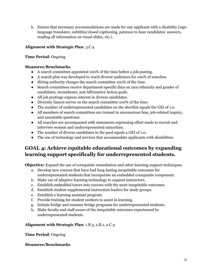k. Ensure that necessary accommodations are made for any applicant with a disability (sign language translator, subtitles/closed captioning, patience to hear candidates' answers, reading all information on visual slides, etc.).

# **Alignment with Strategic Plan**: 3.C.4

### **Time Period**: Ongoing

### **Measures/Benchmarks**

- A search committee appointed 100% of the time before a job posting.
- A search plan was developed to reach diverse audiences for 100% of searches.
- Hiring authority charges the search committee 100% of the time.
- Search committees receive department-specific data on race/ethnicity and gender of candidates, incumbents, and Affirmative Action goals.
- All job postings express interest in diverse candidates.
- Diversity liaison serves on the search committee 100% of the time.
- The number of underrepresented candidates on the shortlist equals the GEI of 1.0.
- All members of search committees are trained in unconscious bias, job-related inquiry, and unsuitable questions.
- All searches are accompanied with statements expressing effort made to recruit and interview women and underrepresented minorities.
- The number of diverse candidates in the pool equals a GEI of 1.0.
- The use of technology and services that accommodate applicants with disabilities.

# **GOAL 4: Achieve equitable educational outcomes by expanding learning support specifically for underrepresented students.**

**Objective:** Expand the use of corequisite remediation and other learning support techniques.

- a. Develop new courses that have had long-lasting inequitable outcomes for underrepresented students that incorporate an embedded corequisite component.
- b. Make use of adaptive learning technology to support instructors.
- c. Establish embedded tutors into courses with the most inequitable outcomes.
- d. Establish student supplemental instruction leaders for study groups.
- e. Establish a learning assistant program.
- f. Provide training for student workers to assist in learning.
- g. Initiate bridge and summer bridge programs for underrepresented students.
- h. Make faculty and staff aware of the inequitable outcomes experienced by underrepresented students.

# **Alignment with Strategic Plan**: 1.B.3, 2.B.1, 2.C.3

**Time Period**: Ongoing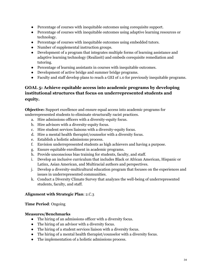- Percentage of courses with inequitable outcomes using corequisite support.
- Percentage of courses with inequitable outcomes using adaptive learning resources or technology.
- Percentage of courses with inequitable outcomes using embedded tutors.
- Number of supplemental instruction groups.
- Development of a program that integrates multiple forms of learning assistance and adaptive learning technology (Realizeit) and embeds corequisite remediation and tutoring.
- Percentage of learning assistants in courses with inequitable outcomes.
- Development of active bridge and summer bridge programs.
- Faculty and staff develop plans to reach a GEI of 1.0 for previously inequitable programs.

# **GOAL 5: Achieve equitable access into academic programs by developing institutional structures that focus on underrepresented students and equity.**

**Objective:** Support excellence and ensure equal access into academic programs for underrepresented students to eliminate structurally racist practices.

- a. Hire admissions officers with a diversity-equity focus.
- b. Hire advisors with a diversity-equity focus.
- c. Hire student services liaisons with a diversity-equity focus.
- d. Hire a mental health therapist/counselor with a diversity focus.
- e. Establish a holistic admissions process.
- f. Envision underrepresented students as high achievers and having a purpose.
- g. Ensure equitable enrollment in academic programs.
- h. Provide unconscious bias training for students, faculty, and staff.
- i. Develop an inclusive curriculum that includes Black or African American, Hispanic or Latinx, Asian American, and Multiracial authors and perspectives.
- j. Develop a diversity-multicultural education program that focuses on the experiences and issues in underrepresented communities.
- k. Conduct a Diversity Climate Survey that analyzes the well-being of underrepresented students, faculty, and staff.

#### **Alignment with Strategic Plan**: 2.C.3

#### **Time Period**: Ongoing

- The hiring of an admissions officer with a diversity focus.
- The hiring of an advisor with a diversity focus.
- The hiring of a student services liaison with a diversity focus.
- The hiring of a mental health therapist/counselor with a diversity focus.
- The implementation of a holistic admissions process.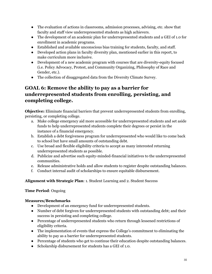- The evaluation of actions in classrooms, admission processes, advising, etc. show that faculty and staff view underrepresented students as high achievers.
- The development of an academic plan for underrepresented students and a GEI of 1.0 for enrollment in academic programs.
- Established and available unconscious bias training for students, faculty, and staff.
- Developed action plans in faculty diversity plan, mentioned earlier in this report, to make curriculum more inclusive.
- Development of a new academic program with courses that are diversity-equity focused (i.e. Policy Advocacy, Protest, and Community Organizing, Philosophy of Race and Gender, etc.).
- The collection of disaggregated data from the Diversity Climate Survey.

# **GOAL 6: Remove the ability to pay as a barrier for underrepresented students from enrolling, persisting, and completing college.**

**Objective:** Eliminate financial barriers that prevent underrepresented students from enrolling, persisting, or completing college.

- a. Make college emergency aid more accessible for underrepresented students and set aside funds to help underrepresented students complete their degrees or persist in the instance of a financial emergency.
- b. Establish a debt forgiveness program for underrepresented who would like to come back to school but have small amounts of outstanding debt.
- c. Use broad and flexible eligibility criteria to accept as many interested returning underrepresented students as possible.
- d. Publicize and advertise such equity-minded-financial initiatives to the underrepresented communities.
- e. Release administrative holds and allow students to register despite outstanding balances.
- f. Conduct internal audit of scholarships to ensure equitable disbursement.

**Alignment with Strategic Plan**: 1. Student Learning and 2. Student Success

# **Time Period**: Ongoing

- Development of an emergency fund for underrepresented students.
- Number of debt forgiven for underrepresented students with outstanding debt; and their success in persisting and completing college.
- Percentage of underrepresented students who return through lessened restrictions of eligibility criteria.
- The implementation of events that express the College's commitment to eliminating the ability to pay as a barrier for underrepresented students.
- Percentage of students who get to continue their education despite outstanding balances.
- Scholarship disbursement for students has a GEI of 1.0.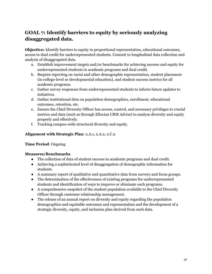# **GOAL 7: Identify barriers to equity by seriously analyzing disaggregated data.**

**Objective:** Identify barriers to equity in proportional representation, educational outcomes, access to dual credit for underrepresented students. Commit to longitudinal data collection and analysis of disaggregated data.

- a. Establish improvement targets and/or benchmarks for achieving success and equity for underrepresented students in academic programs and dual credit.
- b. Require reporting on racial and other demographic representation, student placement (in college-level or developmental education), and student success metrics for all academic programs.
- c. Gather survey responses from underrepresented students to inform future updates to initiatives.
- d. Gather institutional data on population demographics, enrollment, educational outcomes, retention, etc.
- e. Ensure the Chief Diversity Officer has access, control, and necessary privileges to crucial metrics and data (such as through Ellucian CRM Advise) to analyze diversity and equity properly and effectively.
- f. Tracking campus-wide structural diversity and equity.

### **Alignment with Strategic Plan**: 2.A.1, 2.A.2, 2.C.2

#### **Time Period**: Ongoing

- The collection of data of student success in academic programs and dual credit.
- Achieving a sophisticated level of disaggregation of demographic information for students.
- A summary report of qualitative and quantitative data from surveys and focus groups.
- The determination of the effectiveness of existing programs for underrepresented students and identification of ways to improve or eliminate such programs.
- A comprehensive snapshot of the student population available to the Chief Diversity Officer through customer relationship management.
- The release of an annual report on diversity and equity regarding the population demographics and equitable outcomes and representation and the development of a strategic diversity, equity, and inclusion plan derived from such data.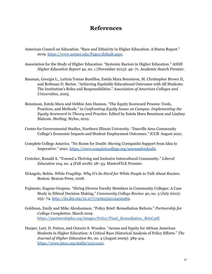# **References**

- American Council on Education. "Race and Ethnicity in Higher Education: A Status Report." 2019. <https://www.acenet.edu/Pages/default.aspx>.
- Association for the Study of Higher Education. "Systemic Racism in Higher Education." *ASHE Higher Education Report* 42, no. 1 (November 2015): 49–71. Academic Search Premier.
- Bauman, Georgia L., Leticia Tomas Bustillos, Estela Mara Bensimon, M. Christopher Brown II, and RoSusan D. Bartee. "Achieving Equitable Educational Outcomes with All Students: The Institution's Roles and Responsibilities." *Association of American Colleges and Universities*, 2005.
- Bensimon, Estela Mara and Debbie Ann Hanson. "The Equity Scorecard Process: Tools, Practices, and Methods." in *Confronting Equity Issues on Campus: Implementing the Equity Scorecard in Theory and Practice*. Edited by Estela Mara Bensimon and Lindsey Malcom. Sterling: Stylus, 2012.
- Center for Governmental Studies, Northern Illinois University. "Danville Area Community College's Economic Impacts and Student Employment Outcomes." *ICCB*. August 2021.
- Complete College America. "No Room for Doubt: Moving Corequisite Support from Idea to Imperative." 2021. [https://www.completecollege.org/noroomfordoubt.](https://www.completecollege.org/noroomfordoubt)
- Crutcher, Ronald A. "Toward a Thriving and Inclusive Intercultural Community." *Liberal Education* 104, no. 4 (Fall 2018): 28–33. MasterFILE Premier.
- DiAngelo, Robin. *White Fragility: Why It's So Hard for White People to Talk About Racism*. Boston: Beacon Press, 2018.
- Fujimoto, Eugene Oropeza. "Hiring Diverse Faculty Members in Community Colleges: A Case Study in Ethical Decision Making." *Community College Review* 40, no. 3 (July 2012): 255–74. <http://dx.doi.org/10.1177/0091552112450069>.
- Goldman, Emily and Mike Abrahamson. "Policy Brief: Remediation Reform." *Partnership for College Completion*. March 2019. [https://partnershipfcc.org/images/Policy/Final\\_Remediation\\_Brief.pdf.](https://partnershipfcc.org/images/Policy/Final_)
- Harper, Lori, D. Patton, and Ontario S. Wooden. "Access and Equity for African American Students in Higher Education: A Critical Race Historical Analysis of Policy Efforts." *The Journal of Higher Education* 80, no. 4 (August 2009): 389-414. <https://www.jstor.org/stable/25511120>.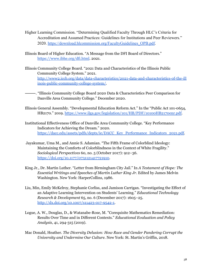- Higher Learning Commission. "Determining Qualified Faculty Through HLC's Criteria for Accreditation and Assumed Practices: Guidelines for Institutions and Peer Reviewers." 2020. [https://download.hlcommission.org/FacultyGuidelines\\_OPB.pdf](https://download.hlcommission.org/FacultyGuidelines_OPB.pdf).
- Illinois Board of Higher Education. "A Message from the DFI Board of Directors." <https://www.ibhe.org/dfi.html>. 2021.
- Illinois Community College Board. "2021 Data and Characteristics of the Illinois Public Community College System." 2021. [http://www2.iccb.org/data/data-characteristics/2021-data-and-characteristics-of-the-ill](http://www2.iccb.org/data/data-characteristics/2021-data-and-characteristics-of-the-illinois-public-community-college-system/) [inois-public-community-college-system/.](http://www2.iccb.org/data/data-characteristics/2021-data-and-characteristics-of-the-illinois-public-community-college-system/)
- ⸻. "Illinois Community College Board 2020 Data & Characteristics Peer Comparison for Danville Area Community College." December 2020.
- Illinois General Assembly. "Developmental Education Reform Act." In the "Public Act 101-0654, HB2170." 2019. [https://www.ilga.gov/legislation/101/HB/PDF/10100HB2170enr.pdf.](https://www.ilga.gov/legislation/101/HB/PDF/10100HB2170enr.pdf)
- Institutional Effectiveness Office of Danville Area Community College. "Key Performance Indicators for Achieving the Dream." 2020. [https://dacc.edu/assets/pdfs/depts/ie/DACC\\_Key\\_Performance\\_Indicators\\_2021.pdf.](https://dacc.edu/assets/pdfs/depts/ie/DACC_Key_Performance_Indicators_2021.pdf)
- Jayakumar, Uma M., and Annie S. Adamian. "The Fifth Frame of Colorblind Ideology: Maintaining the Comforts of Colorblindness in the Context of White Fragility." *Sociological Perspectives* 60, no. 5 (October 2017): 912–36. [https://doi.org/10.1177/0731121417721910.](https://doi.org/10.1177/0731121417721910)
- King Jr., Dr. Martin Luther. "Letter from Birmingham City Jail." In *A Testament of Hope: The Essential Writings and Speeches of Martin Luther King Jr.* Edited by James Melvin Washington. New York: HarperCollins, 1986.
- Liu, Min, Emily McKelroy, Stephanie Corliss, and Jamison Carrigan. "Investigating the Effect of an Adaptive Learning Intervention on Students' Learning." *Educational Technology Research & Development* 65, no. 6 (December 2017): 1605–25. [http://dx.doi.org/10.1007/s11423-017-9542-1.](http://dx.doi.org/10.1007/s11423-017-9542-1)
- Logue, A. W., Douglas, D., & Watanabe-Rose, M. "Corequisite Mathematics Remediation: Results Over Time and in Different Contexts." *Educational Evaluation and Policy Analysis*, 41, 294-315 (2019).
- Mac Donald, Heather. *The Diversity Delusion: How Race and Gender Pandering Corrupt the University and Undermine Our Culture*. New York: St. Martin's Griffin, 2018.